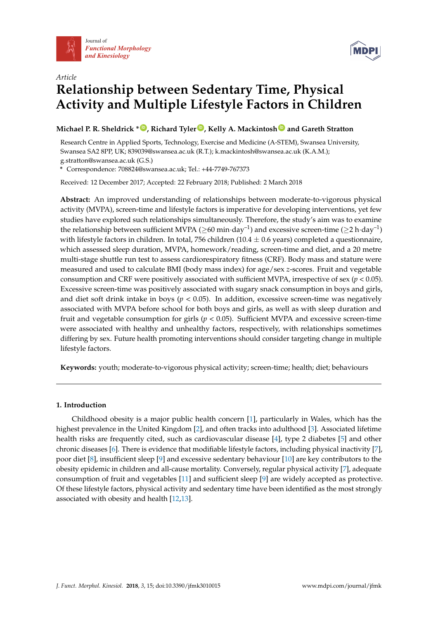



# *Article* **Relationship between Sedentary Time, Physical Activity and Multiple Lifestyle Factors in Children**

**Michael P. R. Sheldrick \* [ID](https://orcid.org/0000-0003-3597-3542) , Richard Tyler [ID](https://orcid.org/0000-0001-9756-5582) , Kelly A. Mackintosh [ID](https://orcid.org/0000-0003-0355-6357) and Gareth Stratton**

Research Centre in Applied Sports, Technology, Exercise and Medicine (A-STEM), Swansea University, Swansea SA2 8PP, UK; 839039@swansea.ac.uk (R.T.); k.mackintosh@swansea.ac.uk (K.A.M.); g.stratton@swansea.ac.uk (G.S.)

**\*** Correspondence: 708824@swansea.ac.uk; Tel.: +44-7749-767373

Received: 12 December 2017; Accepted: 22 February 2018; Published: 2 March 2018

**Abstract:** An improved understanding of relationships between moderate-to-vigorous physical activity (MVPA), screen-time and lifestyle factors is imperative for developing interventions, yet few studies have explored such relationships simultaneously. Therefore, the study's aim was to examine the relationship between sufficient MVPA ( $\geq 60$  min·day<sup>-1</sup>) and excessive screen-time ( $\geq 2$  h·day<sup>-1</sup>) with lifestyle factors in children. In total, 756 children (10.4  $\pm$  0.6 years) completed a questionnaire, which assessed sleep duration, MVPA, homework/reading, screen-time and diet, and a 20 metre multi-stage shuttle run test to assess cardiorespiratory fitness (CRF). Body mass and stature were measured and used to calculate BMI (body mass index) for age/sex *z*-scores. Fruit and vegetable consumption and CRF were positively associated with sufficient MVPA, irrespective of sex ( $p < 0.05$ ). Excessive screen-time was positively associated with sugary snack consumption in boys and girls, and diet soft drink intake in boys ( $p < 0.05$ ). In addition, excessive screen-time was negatively associated with MVPA before school for both boys and girls, as well as with sleep duration and fruit and vegetable consumption for girls ( $p < 0.05$ ). Sufficient MVPA and excessive screen-time were associated with healthy and unhealthy factors, respectively, with relationships sometimes differing by sex. Future health promoting interventions should consider targeting change in multiple lifestyle factors.

**Keywords:** youth; moderate-to-vigorous physical activity; screen-time; health; diet; behaviours

# **1. Introduction**

Childhood obesity is a major public health concern [\[1\]](#page-11-0), particularly in Wales, which has the highest prevalence in the United Kingdom [\[2\]](#page-11-1), and often tracks into adulthood [\[3\]](#page-11-2). Associated lifetime health risks are frequently cited, such as cardiovascular disease [\[4\]](#page-11-3), type 2 diabetes [\[5\]](#page-11-4) and other chronic diseases [\[6\]](#page-11-5). There is evidence that modifiable lifestyle factors, including physical inactivity [\[7\]](#page-11-6), poor diet [\[8\]](#page-11-7), insufficient sleep [\[9\]](#page-11-8) and excessive sedentary behaviour [\[10\]](#page-11-9) are key contributors to the obesity epidemic in children and all-cause mortality. Conversely, regular physical activity [\[7\]](#page-11-6), adequate consumption of fruit and vegetables [\[11\]](#page-11-10) and sufficient sleep [\[9\]](#page-11-8) are widely accepted as protective. Of these lifestyle factors, physical activity and sedentary time have been identified as the most strongly associated with obesity and health [\[12](#page-11-11)[,13\]](#page-11-12).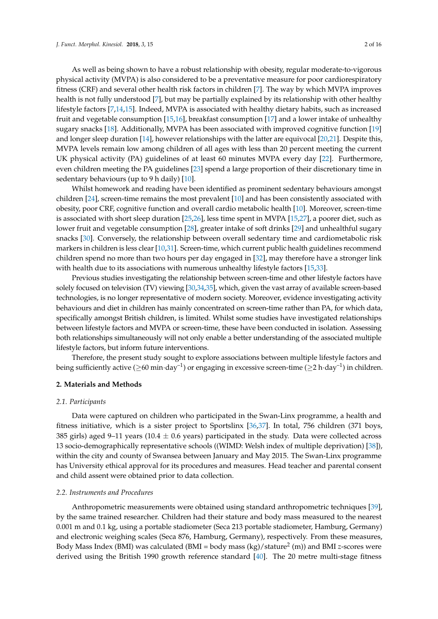As well as being shown to have a robust relationship with obesity, regular moderate-to-vigorous physical activity (MVPA) is also considered to be a preventative measure for poor cardiorespiratory fitness (CRF) and several other health risk factors in children [\[7\]](#page-11-6). The way by which MVPA improves health is not fully understood [\[7\]](#page-11-6), but may be partially explained by its relationship with other healthy lifestyle factors [\[7](#page-11-6)[,14](#page-11-13)[,15\]](#page-11-14). Indeed, MVPA is associated with healthy dietary habits, such as increased fruit and vegetable consumption [\[15](#page-11-14)[,16\]](#page-11-15), breakfast consumption [\[17\]](#page-11-16) and a lower intake of unhealthy sugary snacks [\[18\]](#page-11-17). Additionally, MVPA has been associated with improved cognitive function [\[19\]](#page-11-18) and longer sleep duration [\[14\]](#page-11-13), however relationships with the latter are equivocal [\[20](#page-11-19)[,21\]](#page-12-0). Despite this, MVPA levels remain low among children of all ages with less than 20 percent meeting the current UK physical activity (PA) guidelines of at least 60 minutes MVPA every day [\[22\]](#page-12-1). Furthermore, even children meeting the PA guidelines [\[23\]](#page-12-2) spend a large proportion of their discretionary time in sedentary behaviours (up to 9 h daily) [\[10\]](#page-11-9).

Whilst homework and reading have been identified as prominent sedentary behaviours amongst children [\[24\]](#page-12-3), screen-time remains the most prevalent [\[10\]](#page-11-9) and has been consistently associated with obesity, poor CRF, cognitive function and overall cardio metabolic health [\[10\]](#page-11-9). Moreover, screen-time is associated with short sleep duration [\[25,](#page-12-4)[26\]](#page-12-5), less time spent in MVPA [\[15](#page-11-14)[,27\]](#page-12-6), a poorer diet, such as lower fruit and vegetable consumption [\[28\]](#page-12-7), greater intake of soft drinks [\[29\]](#page-12-8) and unhealthful sugary snacks [\[30\]](#page-12-9). Conversely, the relationship between overall sedentary time and cardiometabolic risk markers in children is less clear [\[10](#page-11-9)[,31\]](#page-12-10). Screen-time, which current public health guidelines recommend children spend no more than two hours per day engaged in [\[32\]](#page-12-11), may therefore have a stronger link with health due to its associations with numerous unhealthy lifestyle factors [\[15](#page-11-14)[,33\]](#page-12-12).

Previous studies investigating the relationship between screen-time and other lifestyle factors have solely focused on television (TV) viewing [\[30](#page-12-9)[,34,](#page-12-13)[35\]](#page-12-14), which, given the vast array of available screen-based technologies, is no longer representative of modern society. Moreover, evidence investigating activity behaviours and diet in children has mainly concentrated on screen-time rather than PA, for which data, specifically amongst British children, is limited. Whilst some studies have investigated relationships between lifestyle factors and MVPA or screen-time, these have been conducted in isolation. Assessing both relationships simultaneously will not only enable a better understanding of the associated multiple lifestyle factors, but inform future interventions.

Therefore, the present study sought to explore associations between multiple lifestyle factors and being sufficiently active ( $\geq$ 60 min·day<sup>-1</sup>) or engaging in excessive screen-time ( $\geq$ 2 h·day<sup>-1</sup>) in children.

#### **2. Materials and Methods**

#### *2.1. Participants*

Data were captured on children who participated in the Swan-Linx programme, a health and fitness initiative, which is a sister project to Sportslinx [\[36](#page-12-15)[,37\]](#page-12-16). In total, 756 children (371 boys, 385 girls) aged 9–11 years (10.4  $\pm$  0.6 years) participated in the study. Data were collected across 13 socio-demographically representative schools ((WIMD: Welsh index of multiple deprivation) [\[38\]](#page-12-17)), within the city and county of Swansea between January and May 2015. The Swan-Linx programme has University ethical approval for its procedures and measures. Head teacher and parental consent and child assent were obtained prior to data collection.

#### *2.2. Instruments and Procedures*

Anthropometric measurements were obtained using standard anthropometric techniques [\[39\]](#page-12-18), by the same trained researcher. Children had their stature and body mass measured to the nearest 0.001 m and 0.1 kg, using a portable stadiometer (Seca 213 portable stadiometer, Hamburg, Germany) and electronic weighing scales (Seca 876, Hamburg, Germany), respectively. From these measures, Body Mass Index (BMI) was calculated (BMI = body mass (kg)/stature<sup>2</sup> (m)) and BMI *z*-scores were derived using the British 1990 growth reference standard [\[40\]](#page-13-0). The 20 metre multi-stage fitness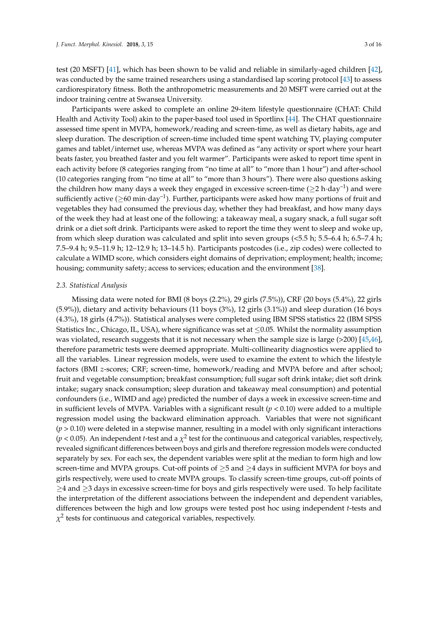test (20 MSFT) [\[41\]](#page-13-1), which has been shown to be valid and reliable in similarly-aged children [\[42\]](#page-13-2), was conducted by the same trained researchers using a standardised lap scoring protocol [\[43\]](#page-13-3) to assess cardiorespiratory fitness. Both the anthropometric measurements and 20 MSFT were carried out at the indoor training centre at Swansea University.

Participants were asked to complete an online 29-item lifestyle questionnaire (CHAT: Child Health and Activity Tool) akin to the paper-based tool used in Sportlinx [\[44\]](#page-13-4). The CHAT questionnaire assessed time spent in MVPA, homework/reading and screen-time, as well as dietary habits, age and sleep duration. The description of screen-time included time spent watching TV, playing computer games and tablet/internet use, whereas MVPA was defined as "any activity or sport where your heart beats faster, you breathed faster and you felt warmer". Participants were asked to report time spent in each activity before (8 categories ranging from "no time at all" to "more than 1 hour") and after-school (10 categories ranging from "no time at all" to "more than 3 hours"). There were also questions asking the children how many days a week they engaged in excessive screen-time ( $\geq 2$  h·day<sup>-1</sup>) and were sufficiently active ( $\geq$ 60 min·day<sup>-1</sup>). Further, participants were asked how many portions of fruit and vegetables they had consumed the previous day, whether they had breakfast, and how many days of the week they had at least one of the following: a takeaway meal, a sugary snack, a full sugar soft drink or a diet soft drink. Participants were asked to report the time they went to sleep and woke up, from which sleep duration was calculated and split into seven groups (<5.5 h; 5.5–6.4 h; 6.5–7.4 h; 7.5–9.4 h; 9.5–11.9 h; 12–12.9 h; 13–14.5 h). Participants postcodes (i.e., zip codes) were collected to calculate a WIMD score, which considers eight domains of deprivation; employment; health; income; housing; community safety; access to services; education and the environment [\[38\]](#page-12-17).

#### *2.3. Statistical Analysis*

Missing data were noted for BMI (8 boys (2.2%), 29 girls (7.5%)), CRF (20 boys (5.4%), 22 girls (5.9%)), dietary and activity behaviours (11 boys (3%), 12 girls (3.1%)) and sleep duration (16 boys (4.3%), 18 girls (4.7%)). Statistical analyses were completed using IBM SPSS statistics 22 (IBM SPSS Statistics Inc., Chicago, IL, USA), where significance was set at  $\leq$  0.05. Whilst the normality assumption was violated, research suggests that it is not necessary when the sample size is large (>200) [\[45,](#page-13-5)[46\]](#page-13-6), therefore parametric tests were deemed appropriate. Multi-collinearity diagnostics were applied to all the variables. Linear regression models, were used to examine the extent to which the lifestyle factors (BMI *z*-scores; CRF; screen-time, homework/reading and MVPA before and after school; fruit and vegetable consumption; breakfast consumption; full sugar soft drink intake; diet soft drink intake; sugary snack consumption; sleep duration and takeaway meal consumption) and potential confounders (i.e., WIMD and age) predicted the number of days a week in excessive screen-time and in sufficient levels of MVPA. Variables with a significant result  $(p < 0.10)$  were added to a multiple regression model using the backward elimination approach. Variables that were not significant (*p* > 0.10) were deleted in a stepwise manner, resulting in a model with only significant interactions  $(p < 0.05)$ . An independent *t*-test and a  $\chi^2$  test for the continuous and categorical variables, respectively, revealed significant differences between boys and girls and therefore regression models were conducted separately by sex. For each sex, the dependent variables were split at the median to form high and low screen-time and MVPA groups. Cut-off points of  $\geq$ 5 and  $\geq$ 4 days in sufficient MVPA for boys and girls respectively, were used to create MVPA groups. To classify screen-time groups, cut-off points of ≥4 and ≥3 days in excessive screen-time for boys and girls respectively were used. To help facilitate the interpretation of the different associations between the independent and dependent variables, differences between the high and low groups were tested post hoc using independent *t*-tests and  $\chi^2$  tests for continuous and categorical variables, respectively.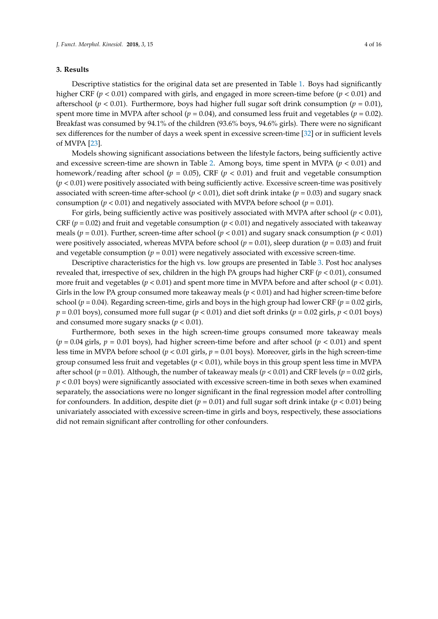### **3. Results**

Descriptive statistics for the original data set are presented in Table [1.](#page-4-0) Boys had significantly higher CRF ( $p < 0.01$ ) compared with girls, and engaged in more screen-time before ( $p < 0.01$ ) and afterschool ( $p < 0.01$ ). Furthermore, boys had higher full sugar soft drink consumption ( $p = 0.01$ ), spent more time in MVPA after school ( $p = 0.04$ ), and consumed less fruit and vegetables ( $p = 0.02$ ). Breakfast was consumed by 94.1% of the children (93.6% boys, 94.6% girls). There were no significant sex differences for the number of days a week spent in excessive screen-time [\[32\]](#page-12-11) or in sufficient levels of MVPA [\[23\]](#page-12-2).

Models showing significant associations between the lifestyle factors, being sufficiently active and excessive screen-time are shown in Table [2.](#page-5-0) Among boys, time spent in MVPA (*p* < 0.01) and homework/reading after school ( $p = 0.05$ ), CRF ( $p < 0.01$ ) and fruit and vegetable consumption (*p* < 0.01) were positively associated with being sufficiently active. Excessive screen-time was positively associated with screen-time after-school  $(p < 0.01)$ , diet soft drink intake  $(p = 0.03)$  and sugary snack consumption ( $p < 0.01$ ) and negatively associated with MVPA before school ( $p = 0.01$ ).

For girls, being sufficiently active was positively associated with MVPA after school  $(p < 0.01)$ , CRF ( $p = 0.02$ ) and fruit and vegetable consumption ( $p < 0.01$ ) and negatively associated with takeaway meals ( $p = 0.01$ ). Further, screen-time after school ( $p < 0.01$ ) and sugary snack consumption ( $p < 0.01$ ) were positively associated, whereas MVPA before school  $(p = 0.01)$ , sleep duration  $(p = 0.03)$  and fruit and vegetable consumption  $(p = 0.01)$  were negatively associated with excessive screen-time.

Descriptive characteristics for the high vs. low groups are presented in Table [3.](#page-6-0) Post hoc analyses revealed that, irrespective of sex, children in the high PA groups had higher CRF (*p* < 0.01), consumed more fruit and vegetables (*p* < 0.01) and spent more time in MVPA before and after school (*p* < 0.01). Girls in the low PA group consumed more takeaway meals  $(p < 0.01)$  and had higher screen-time before school ( $p = 0.04$ ). Regarding screen-time, girls and boys in the high group had lower CRF ( $p = 0.02$  girls,  $p = 0.01$  boys), consumed more full sugar ( $p < 0.01$ ) and diet soft drinks ( $p = 0.02$  girls,  $p < 0.01$  boys) and consumed more sugary snacks (*p* < 0.01).

Furthermore, both sexes in the high screen-time groups consumed more takeaway meals  $(p = 0.04 \text{ girls}, p = 0.01 \text{ boys})$ , had higher screen-time before and after school  $(p < 0.01)$  and spent less time in MVPA before school (*p* < 0.01 girls, *p* = 0.01 boys). Moreover, girls in the high screen-time group consumed less fruit and vegetables (*p <* 0.01), while boys in this group spent less time in MVPA after school (*p* = 0.01). Although, the number of takeaway meals (*p* < 0.01) and CRF levels (*p* = 0.02 girls,  $p < 0.01$  boys) were significantly associated with excessive screen-time in both sexes when examined separately, the associations were no longer significant in the final regression model after controlling for confounders. In addition, despite diet (*p* = 0.01) and full sugar soft drink intake (*p* < 0.01) being univariately associated with excessive screen-time in girls and boys, respectively, these associations did not remain significant after controlling for other confounders.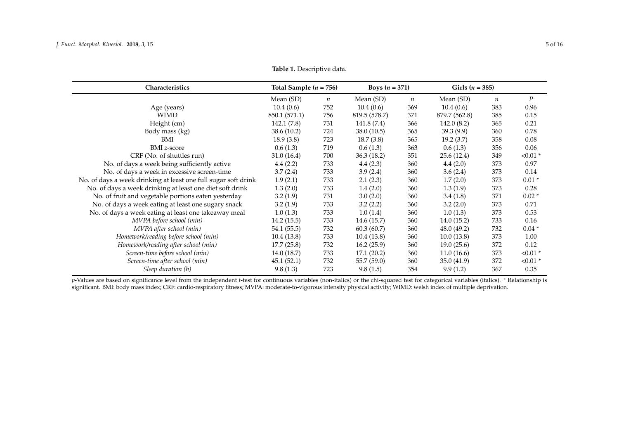| Characteristics                                                | Total Sample $(n = 756)$ |                  | Boys $(n = 371)$ |                  | Girls $(n = 385)$ |                  |                  |
|----------------------------------------------------------------|--------------------------|------------------|------------------|------------------|-------------------|------------------|------------------|
|                                                                | Mean (SD)                | $\boldsymbol{n}$ | Mean (SD)        | $\boldsymbol{n}$ | Mean (SD)         | $\boldsymbol{n}$ | $\boldsymbol{P}$ |
| Age (years)                                                    | 10.4(0.6)                | 752              | 10.4(0.6)        | 369              | 10.4(0.6)         | 383              | 0.96             |
| <b>WIMD</b>                                                    | 850.1 (571.1)            | 756              | 819.5 (578.7)    | 371              | 879.7 (562.8)     | 385              | 0.15             |
| Height (cm)                                                    | 142.1 (7.8)              | 731              | 141.8 (7.4)      | 366              | 142.0(8.2)        | 365              | 0.21             |
| Body mass (kg)                                                 | 38.6 (10.2)              | 724              | 38.0(10.5)       | 365              | 39.3(9.9)         | 360              | 0.78             |
| BMI                                                            | 18.9(3.8)                | 723              | 18.7(3.8)        | 365              | 19.2(3.7)         | 358              | 0.08             |
| <b>BMI</b> z-score                                             | 0.6(1.3)                 | 719              | 0.6(1.3)         | 363              | 0.6(1.3)          | 356              | 0.06             |
| CRF (No. of shuttles run)                                      | 31.0(16.4)               | 700              | 36.3(18.2)       | 351              | 25.6(12.4)        | 349              | $< 0.01$ *       |
| No. of days a week being sufficiently active                   | 4.4(2.2)                 | 733              | 4.4(2.3)         | 360              | 4.4(2.0)          | 373              | 0.97             |
| No. of days a week in excessive screen-time                    | 3.7(2.4)                 | 733              | 3.9(2.4)         | 360              | 3.6(2.4)          | 373              | 0.14             |
| No. of days a week drinking at least one full sugar soft drink | 1.9(2.1)                 | 733              | 2.1(2.3)         | 360              | 1.7(2.0)          | 373              | $0.01*$          |
| No. of days a week drinking at least one diet soft drink       | 1.3(2.0)                 | 733              | 1.4(2.0)         | 360              | 1.3(1.9)          | 373              | 0.28             |
| No. of fruit and vegetable portions eaten yesterday            | 3.2(1.9)                 | 731              | 3.0(2.0)         | 360              | 3.4(1.8)          | 371              | $0.02*$          |
| No. of days a week eating at least one sugary snack            | 3.2(1.9)                 | 733              | 3.2(2.2)         | 360              | 3.2(2.0)          | 373              | 0.71             |
| No. of days a week eating at least one takeaway meal           | 1.0(1.3)                 | 733              | 1.0(1.4)         | 360              | 1.0(1.3)          | 373              | 0.53             |
| MVPA before school (min)                                       | 14.2(15.5)               | 733              | 14.6(15.7)       | 360              | 14.0(15.2)        | 733              | 0.16             |
| MVPA after school (min)                                        | 54.1 (55.5)              | 732              | 60.3(60.7)       | 360              | 48.0 (49.2)       | 732              | $0.04*$          |
| Homework/reading before school (min)                           | 10.4(13.8)               | 733              | 10.4(13.8)       | 360              | 10.0(13.8)        | 373              | 1.00             |
| Homework/reading after school (min)                            | 17.7(25.8)               | 732              | 16.2(25.9)       | 360              | 19.0(25.6)        | 372              | 0.12             |
| Screen-time before school (min)                                | 14.0 (18.7)              | 733              | 17.1(20.2)       | 360              | 11.0(16.6)        | 373              | $< 0.01$ *       |
| Screen-time after school (min)                                 | 45.1(52.1)               | 732              | 55.7 (59.0)      | 360              | 35.0(41.9)        | 372              | $< 0.01$ *       |
| Sleep duration (h)                                             | 9.8(1.3)                 | 723              | 9.8(1.5)         | 354              | 9.9(1.2)          | 367              | 0.35             |

**Table 1.** Descriptive data.

<span id="page-4-0"></span>p-Values are based on significance level from the independent *t*-test for continuous variables (non-italics) or the chi-squared test for categorical variables (italics). \* Relationship is significant. BMI: body mass index; CRF: cardio-respiratory fitness; MVPA: moderate-to-vigorous intensity physical activity; WIMD: welsh index of multiple deprivation.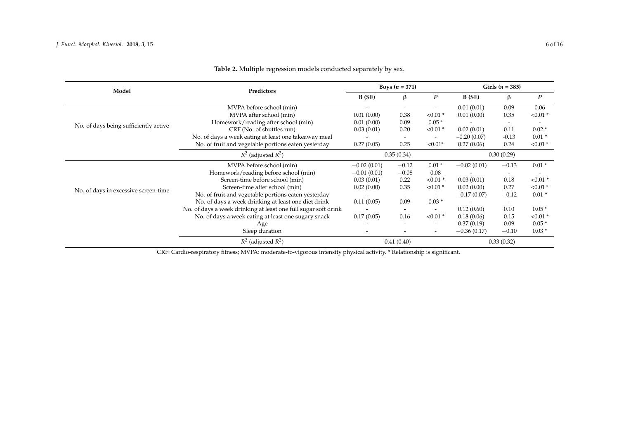| Model                                 | Predictors                                                     |               | <b>Boys</b> $(n = 371)$  |                              | Girls $(n = 385)$ |                          |            |
|---------------------------------------|----------------------------------------------------------------|---------------|--------------------------|------------------------------|-------------------|--------------------------|------------|
|                                       |                                                                | B (SE)        | β                        | $\boldsymbol{P}$             | B(SE)             | $\beta$                  | P          |
|                                       | MVPA before school (min)                                       |               |                          | ٠                            | 0.01(0.01)        | 0.09                     | 0.06       |
|                                       | MVPA after school (min)                                        | 0.01(0.00)    | 0.38                     | $< 0.01$ *                   | 0.01(0.00)        | 0.35                     | $< 0.01$ * |
| No. of days being sufficiently active | Homework/reading after school (min)                            | 0.01(0.00)    | 0.09                     | $0.05*$                      |                   | $\overline{\phantom{a}}$ |            |
|                                       | CRF (No. of shuttles run)                                      | 0.03(0.01)    | 0.20                     | $< 0.01$ *                   | 0.02(0.01)        | 0.11                     | $0.02*$    |
|                                       | No. of days a week eating at least one takeaway meal           |               |                          | $\qquad \qquad \blacksquare$ | $-0.20(0.07)$     | $-0.13$                  | $0.01*$    |
|                                       | No. of fruit and vegetable portions eaten yesterday            | 0.27(0.05)    | 0.25                     | $< 0.01*$                    | 0.27(0.06)        | 0.24                     | $< 0.01$ * |
|                                       | $R^2$ (adjusted $R^2$ )                                        | 0.35(0.34)    |                          |                              | 0.30(0.29)        |                          |            |
|                                       | MVPA before school (min)                                       | $-0.02(0.01)$ | $-0.12$                  | $0.01*$                      | $-0.02(0.01)$     | $-0.13$                  | $0.01*$    |
|                                       | Homework/reading before school (min)                           | $-0.01(0.01)$ | $-0.08$                  | 0.08                         |                   | $\overline{\phantom{a}}$ |            |
| No. of days in excessive screen-time  | Screen-time before school (min)                                | 0.03(0.01)    | 0.22                     | $< 0.01$ *                   | 0.03(0.01)        | 0.18                     | $< 0.01$ * |
|                                       | Screen-time after school (min)                                 | 0.02(0.00)    | 0.35                     | $< 0.01$ *                   | 0.02(0.00)        | 0.27                     | $< 0.01$ * |
|                                       | No. of fruit and vegetable portions eaten yesterday            |               | $\overline{\phantom{a}}$ | $\overline{\phantom{a}}$     | $-0.17(0.07)$     | $-0.12$                  | $0.01*$    |
|                                       | No. of days a week drinking at least one diet drink            | 0.11(0.05)    | 0.09                     | $0.03*$                      |                   | $\overline{\phantom{a}}$ |            |
|                                       | No. of days a week drinking at least one full sugar soft drink |               | $\overline{\phantom{a}}$ | $\qquad \qquad \blacksquare$ | 0.12(0.60)        | 0.10                     | $0.05*$    |
|                                       | No. of days a week eating at least one sugary snack            | 0.17(0.05)    | 0.16                     | $< 0.01$ *                   | 0.18(0.06)        | 0.15                     | $< 0.01$ * |
|                                       | Age                                                            |               | $\overline{\phantom{a}}$ | $\overline{\phantom{0}}$     | 0.37(0.19)        | 0.09                     | $0.05*$    |
|                                       | Sleep duration                                                 |               |                          | $\overline{\phantom{a}}$     | $-0.36(0.17)$     | $-0.10$                  | $0.03*$    |
|                                       | $R^2$ (adjusted $R^2$ )                                        |               | 0.41(0.40)               |                              | 0.33(0.32)        |                          |            |

# **Table 2.** Multiple regression models conducted separately by sex.

<span id="page-5-0"></span>CRF: Cardio-respiratory fitness; MVPA: moderate-to-vigorous intensity physical activity. \* Relationship is significant.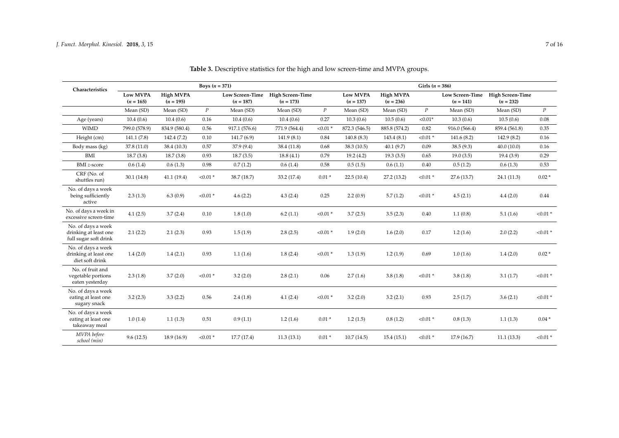<span id="page-6-0"></span>

| Characteristics                                                      | Boys $(n = 371)$               |                                 |                  |                                       |                                 |                  | Girls $(n = 386)$       |                          |                  |                                       |                                 |                  |  |
|----------------------------------------------------------------------|--------------------------------|---------------------------------|------------------|---------------------------------------|---------------------------------|------------------|-------------------------|--------------------------|------------------|---------------------------------------|---------------------------------|------------------|--|
|                                                                      | <b>Low MVPA</b><br>$(n = 165)$ | <b>High MVPA</b><br>$(n = 195)$ |                  | <b>Low Screen-Time</b><br>$(n = 187)$ | High Screen-Time<br>$(n = 173)$ |                  | Low MVPA<br>$(n = 137)$ | High MVPA<br>$(n = 236)$ |                  | <b>Low Screen-Time</b><br>$(n = 141)$ | High Screen-Time<br>$(n = 232)$ |                  |  |
|                                                                      | Mean (SD)                      | Mean (SD)                       | $\boldsymbol{P}$ | Mean (SD)                             | Mean (SD)                       | $\boldsymbol{p}$ | Mean (SD)               | Mean (SD)                | $\boldsymbol{P}$ | Mean (SD)                             | Mean (SD)                       | $\boldsymbol{P}$ |  |
| Age (years)                                                          | 10.4(0.6)                      | 10.4(0.6)                       | 0.16             | 10.4(0.6)                             | 10.4(0.6)                       | 0.27             | 10.3(0.6)               | 10.5(0.6)                | $< 0.01*$        | 10.3(0.6)                             | 10.5(0.6)                       | 0.08             |  |
| <b>WIMD</b>                                                          | 799.0 (578.9)                  | 834.9 (580.4)                   | 0.56             | 917.1 (576.6)                         | 771.9 (564.4)                   | $< 0.01$ *       | 872.3 (546.5)           | 885.8 (574.2)            | 0.82             | 916.0 (566.4)                         | 859.4 (561.8)                   | 0.35             |  |
| Height (cm)                                                          | 141.1(7.8)                     | 142.4 (7.2)                     | 0.10             | 141.7(6.9)                            | 141.9(8.1)                      | 0.84             | 140.8(8.3)              | 143.4(8.1)               | $< 0.01$ *       | 141.6(8.2)                            | 142.9 (8.2)                     | 0.16             |  |
| Body mass (kg)                                                       | 37.8 (11.0)                    | 38.4 (10.3)                     | 0.57             | 37.9 (9.4)                            | 38.4 (11.8)                     | 0.68             | 38.3 (10.5)             | 40.1(9.7)                | 0.09             | 38.5(9.3)                             | 40.0(10.0)                      | 0.16             |  |
| BMI                                                                  | 18.7(3.8)                      | 18.7(3.8)                       | 0.93             | 18.7(3.5)                             | 18.8(4.1)                       | 0.79             | 19.2(4.2)               | 19.3(3.5)                | 0.65             | 19.0(3.5)                             | 19.4(3.9)                       | 0.29             |  |
| <b>BMI</b> z-score                                                   | 0.6(1.4)                       | 0.6(1.3)                        | 0.98             | 0.7(1.2)                              | 0.6(1.4)                        | 0.58             | 0.5(1.5)                | 0.6(1.1)                 | 0.40             | 0.5(1.2)                              | 0.6(1.3)                        | 0.53             |  |
| CRF (No. of<br>shuttles run)                                         | 30.1(14.8)                     | 41.1(19.4)                      | $< 0.01$ *       | 38.7 (18.7)                           | 33.2 (17.4)                     | $0.01*$          | 22.5(10.4)              | 27.2(13.2)               | $< 0.01$ *       | 27.6 (13.7)                           | 24.1 (11.3)                     | $0.02*$          |  |
| No. of days a week<br>being sufficiently<br>active                   | 2.3(1.3)                       | 6.3(0.9)                        | $< 0.01$ *       | 4.6(2.2)                              | 4.3(2.4)                        | 0.25             | 2.2(0.9)                | 5.7(1.2)                 | $< 0.01$ *       | 4.5(2.1)                              | 4.4(2.0)                        | 0.44             |  |
| No. of days a week in<br>excessive screen-time                       | 4.1(2.5)                       | 3.7(2.4)                        | 0.10             | 1.8(1.0)                              | 6.2(1.1)                        | $< 0.01$ *       | 3.7(2.5)                | 3.5(2.3)                 | 0.40             | 1.1(0.8)                              | 5.1(1.6)                        | $< 0.01$ *       |  |
| No. of days a week<br>drinking at least one<br>full sugar soft drink | 2.1(2.2)                       | 2.1(2.3)                        | 0.93             | 1.5(1.9)                              | 2.8(2.5)                        | $< 0.01$ *       | 1.9(2.0)                | 1.6(2.0)                 | 0.17             | 1.2(1.6)                              | 2.0(2.2)                        | $< 0.01$ *       |  |
| No. of days a week<br>drinking at least one<br>diet soft drink       | 1.4(2.0)                       | 1.4(2.1)                        | 0.93             | 1.1(1.6)                              | 1.8(2.4)                        | $< 0.01$ *       | 1.3(1.9)                | 1.2(1.9)                 | 0.69             | 1.0(1.6)                              | 1.4(2.0)                        | $0.02*$          |  |
| No. of fruit and<br>vegetable portions<br>eaten yesterday            | 2.3(1.8)                       | 3.7(2.0)                        | $< 0.01$ *       | 3.2(2.0)                              | 2.8(2.1)                        | 0.06             | 2.7(1.6)                | 3.8(1.8)                 | $< 0.01$ *       | 3.8(1.8)                              | 3.1(1.7)                        | $< 0.01$ *       |  |
| No. of days a week<br>eating at least one<br>sugary snack            | 3.2(2.3)                       | 3.3(2.2)                        | 0.56             | 2.4(1.8)                              | 4.1(2.4)                        | $< 0.01$ *       | 3.2(2.0)                | 3.2(2.1)                 | 0.93             | 2.5(1.7)                              | 3.6(2.1)                        | $< 0.01$ *       |  |
| No. of days a week<br>eating at least one<br>takeaway meal           | 1.0(1.4)                       | 1.1(1.3)                        | 0.51             | 0.9(1.1)                              | 1.2(1.6)                        | $0.01*$          | 1.2(1.5)                | 0.8(1.2)                 | $< 0.01$ *       | 0.8(1.3)                              | 1.1(1.3)                        | $0.04*$          |  |
| MVPA before<br>school (min)                                          | 9.6(12.5)                      | 18.9 (16.9)                     | $< 0.01$ *       | 17.7(17.4)                            | 11.3(13.1)                      | $0.01*$          | 10.7(14.5)              | 15.4(15.1)               | $< 0.01$ *       | 17.9(16.7)                            | 11.1(13.3)                      | $< 0.01$ *       |  |

**Table 3.** Descriptive statistics for the high and low screen-time and MVPA groups.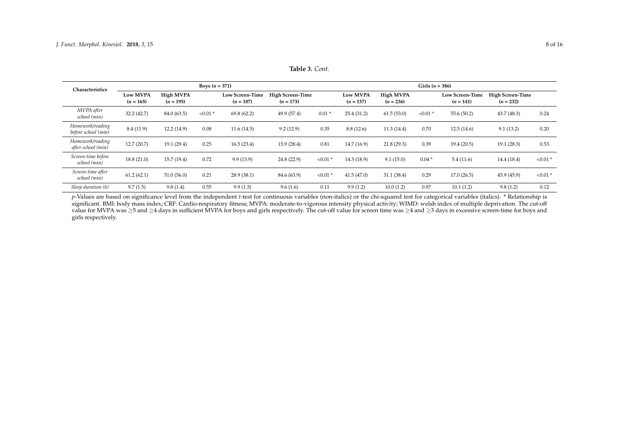| Characteristics                         | <b>Boys</b> $(n = 371)$        |                          |            |                                       |                                        |            |                                | Girls $(n = 386)$        |            |                                       |                                        |            |  |
|-----------------------------------------|--------------------------------|--------------------------|------------|---------------------------------------|----------------------------------------|------------|--------------------------------|--------------------------|------------|---------------------------------------|----------------------------------------|------------|--|
|                                         | <b>Low MVPA</b><br>$(n = 165)$ | High MVPA<br>$(n = 195)$ |            | <b>Low Screen-Time</b><br>$(n = 187)$ | <b>High Screen-Time</b><br>$(n = 173)$ |            | <b>Low MVPA</b><br>$(n = 137)$ | High MVPA<br>$(n = 236)$ |            | <b>Low Screen-Time</b><br>$(n = 141)$ | <b>High Screen-Time</b><br>$(n = 232)$ |            |  |
| MVPA after<br>school (min)              | 32.2 (42.7)                    | 84.0 (63.5)              | $< 0.01$ * | 69.8(62.2)                            | 49.9 (57.4)                            | $0.01*$    | 25.4(31.2)                     | 61.5(53.0)               | $< 0.01$ * | 55.6(50.2)                            | 43.7(48.3)                             | 0.24       |  |
| Homework/reading<br>before school (min) | 8.4(11.9)                      | 12.2(14.9)               | 0.08       | 11.6(14.5)                            | 9.2(12.9)                              | 0.35       | 8.8(12.6)                      | 11.3(14.4)               | 0.70       | 12.5(14.6)                            | 9.1(13.2)                              | 0.20       |  |
| Homework/reading<br>after school (min)  | 12.7(20.7)                     | 19.1 (29.4)              | 0.25       | 16.5(23.4)                            | 15.9(28.4)                             | 0.81       | 14.7(16.9)                     | 21.8(29.3)               | 0.39       | 19.4(20.5)                            | 19.1(28.3)                             | 0.53       |  |
| Screen-time before<br>school (min)      | 18.8(21.0)                     | 15.7 (19.4)              | 0.72       | 9.9(13.9)                             | 24.8 (22.9)                            | $< 0.01$ * | 14.3(18.9)                     | 9.1(15.0)                | $0.04*$    | 5.4(11.6)                             | 14.4 (18.4)                            | $< 0.01$ * |  |
| Screen-time after<br>school (min)       | 61.2(62.1)                     | 51.0(56.0)               | 0.21       | 28.9(38.1)                            | 84.6 (63.9)                            | $< 0.01$ * | 41.5(47.0)                     | 31.1(38.4)               | 0.29       | 17.0(26.5)                            | 45.9(45.9)                             | $< 0.01$ * |  |
| Sleep duration (h)                      | 9.7(1.5)                       | 9.8(1.4)                 | 0.55       | 9.9(1.3)                              | 9.6(1.6)                               | 0.11       | 9.9(1.2)                       | 10.0(1.2)                | 0.97       | 10.1(1.2)                             | 9.8(1.2)                               | 0.12       |  |

**Table 3.** *Cont.*

*p*-Values are based on significance level from the independent *t*-test for continuous variables (non-italics) or the chi-squared test for categorical variables (italics). \* Relationship is significant. BMI: body mass index; CRF: Cardio-respiratory fitness; MVPA: moderate-to-vigorous intensity physical activity; WIMD: welsh index of multiple deprivation. The cut-off value for MVPA was ≥5 and ≥4 days in sufficient MVPA for boys and girls respectively. The cut-off value for screen time was ≥4 and ≥3 days in excessive screen-time for boys and girls respectively.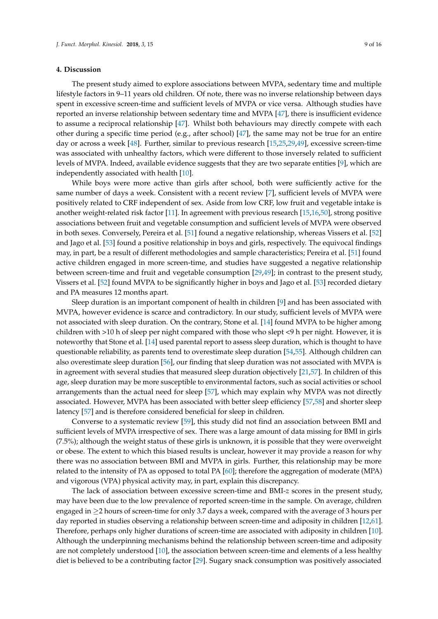#### **4. Discussion**

The present study aimed to explore associations between MVPA, sedentary time and multiple lifestyle factors in 9–11 years old children. Of note, there was no inverse relationship between days spent in excessive screen-time and sufficient levels of MVPA or vice versa. Although studies have reported an inverse relationship between sedentary time and MVPA [\[47\]](#page-13-7), there is insufficient evidence to assume a reciprocal relationship [\[47\]](#page-13-7). Whilst both behaviours may directly compete with each other during a specific time period (e.g., after school) [\[47\]](#page-13-7), the same may not be true for an entire day or across a week [\[48\]](#page-13-8). Further, similar to previous research [\[15](#page-11-14)[,25](#page-12-4)[,29](#page-12-8)[,49\]](#page-13-9), excessive screen-time was associated with unhealthy factors, which were different to those inversely related to sufficient levels of MVPA. Indeed, available evidence suggests that they are two separate entities [\[9\]](#page-11-8), which are independently associated with health [\[10\]](#page-11-9).

While boys were more active than girls after school, both were sufficiently active for the same number of days a week. Consistent with a recent review [\[7\]](#page-11-6), sufficient levels of MVPA were positively related to CRF independent of sex. Aside from low CRF, low fruit and vegetable intake is another weight-related risk factor [\[11\]](#page-11-10). In agreement with previous research [\[15](#page-11-14)[,16](#page-11-15)[,50\]](#page-13-10), strong positive associations between fruit and vegetable consumption and sufficient levels of MVPA were observed in both sexes. Conversely, Pereira et al. [\[51\]](#page-13-11) found a negative relationship, whereas Vissers et al. [\[52\]](#page-13-12) and Jago et al. [\[53\]](#page-13-13) found a positive relationship in boys and girls, respectively. The equivocal findings may, in part, be a result of different methodologies and sample characteristics; Pereira et al. [\[51\]](#page-13-11) found active children engaged in more screen-time, and studies have suggested a negative relationship between screen-time and fruit and vegetable consumption [\[29,](#page-12-8)[49\]](#page-13-9); in contrast to the present study, Vissers et al. [\[52\]](#page-13-12) found MVPA to be significantly higher in boys and Jago et al. [\[53\]](#page-13-13) recorded dietary and PA measures 12 months apart.

Sleep duration is an important component of health in children [\[9\]](#page-11-8) and has been associated with MVPA, however evidence is scarce and contradictory. In our study, sufficient levels of MVPA were not associated with sleep duration. On the contrary, Stone et al. [\[14\]](#page-11-13) found MVPA to be higher among children with >10 h of sleep per night compared with those who slept <9 h per night. However, it is noteworthy that Stone et al. [\[14\]](#page-11-13) used parental report to assess sleep duration, which is thought to have questionable reliability, as parents tend to overestimate sleep duration [\[54,](#page-13-14)[55\]](#page-13-15). Although children can also overestimate sleep duration [\[56\]](#page-13-16), our finding that sleep duration was not associated with MVPA is in agreement with several studies that measured sleep duration objectively [\[21](#page-12-0)[,57\]](#page-13-17). In children of this age, sleep duration may be more susceptible to environmental factors, such as social activities or school arrangements than the actual need for sleep [\[57\]](#page-13-17), which may explain why MVPA was not directly associated. However, MVPA has been associated with better sleep efficiency [\[57](#page-13-17)[,58\]](#page-13-18) and shorter sleep latency [\[57\]](#page-13-17) and is therefore considered beneficial for sleep in children.

Converse to a systematic review [\[59\]](#page-13-19), this study did not find an association between BMI and sufficient levels of MVPA irrespective of sex. There was a large amount of data missing for BMI in girls (7.5%); although the weight status of these girls is unknown, it is possible that they were overweight or obese. The extent to which this biased results is unclear, however it may provide a reason for why there was no association between BMI and MVPA in girls. Further, this relationship may be more related to the intensity of PA as opposed to total PA [\[60\]](#page-14-0); therefore the aggregation of moderate (MPA) and vigorous (VPA) physical activity may, in part, explain this discrepancy.

The lack of association between excessive screen-time and BMI-*z* scores in the present study, may have been due to the low prevalence of reported screen-time in the sample. On average, children engaged in ≥2 hours of screen-time for only 3.7 days a week, compared with the average of 3 hours per day reported in studies observing a relationship between screen-time and adiposity in children [\[12](#page-11-11)[,61\]](#page-14-1). Therefore, perhaps only higher durations of screen-time are associated with adiposity in children [\[10\]](#page-11-9). Although the underpinning mechanisms behind the relationship between screen-time and adiposity are not completely understood [\[10\]](#page-11-9), the association between screen-time and elements of a less healthy diet is believed to be a contributing factor [\[29\]](#page-12-8). Sugary snack consumption was positively associated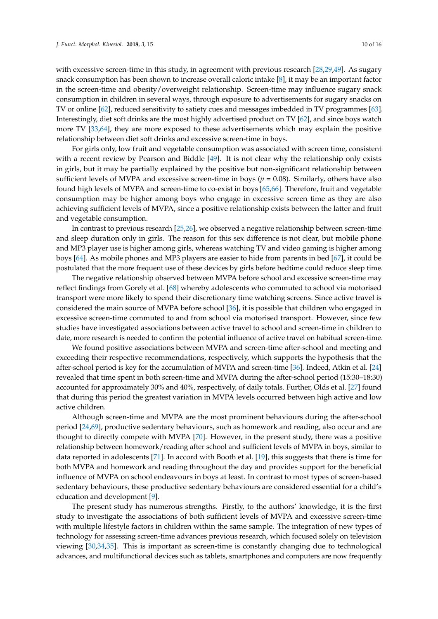with excessive screen-time in this study, in agreement with previous research [\[28](#page-12-7)[,29](#page-12-8)[,49\]](#page-13-9). As sugary snack consumption has been shown to increase overall caloric intake [\[8\]](#page-11-7), it may be an important factor in the screen-time and obesity/overweight relationship. Screen-time may influence sugary snack consumption in children in several ways, through exposure to advertisements for sugary snacks on TV or online [\[62\]](#page-14-2), reduced sensitivity to satiety cues and messages imbedded in TV programmes [\[63\]](#page-14-3). Interestingly, diet soft drinks are the most highly advertised product on TV [\[62\]](#page-14-2), and since boys watch more TV [\[33,](#page-12-12)[64\]](#page-14-4), they are more exposed to these advertisements which may explain the positive relationship between diet soft drinks and excessive screen-time in boys.

For girls only, low fruit and vegetable consumption was associated with screen time, consistent with a recent review by Pearson and Biddle [\[49\]](#page-13-9). It is not clear why the relationship only exists in girls, but it may be partially explained by the positive but non-significant relationship between sufficient levels of MVPA and excessive screen-time in boys ( $p = 0.08$ ). Similarly, others have also found high levels of MVPA and screen-time to co-exist in boys [\[65,](#page-14-5)[66\]](#page-14-6). Therefore, fruit and vegetable consumption may be higher among boys who engage in excessive screen time as they are also achieving sufficient levels of MVPA, since a positive relationship exists between the latter and fruit and vegetable consumption.

In contrast to previous research [\[25](#page-12-4)[,26\]](#page-12-5), we observed a negative relationship between screen-time and sleep duration only in girls. The reason for this sex difference is not clear, but mobile phone and MP3 player use is higher among girls, whereas watching TV and video gaming is higher among boys [\[64\]](#page-14-4). As mobile phones and MP3 players are easier to hide from parents in bed [\[67\]](#page-14-7), it could be postulated that the more frequent use of these devices by girls before bedtime could reduce sleep time.

The negative relationship observed between MVPA before school and excessive screen-time may reflect findings from Gorely et al. [\[68\]](#page-14-8) whereby adolescents who commuted to school via motorised transport were more likely to spend their discretionary time watching screens. Since active travel is considered the main source of MVPA before school [\[36\]](#page-12-15), it is possible that children who engaged in excessive screen-time commuted to and from school via motorised transport. However, since few studies have investigated associations between active travel to school and screen-time in children to date, more research is needed to confirm the potential influence of active travel on habitual screen-time.

We found positive associations between MVPA and screen-time after-school and meeting and exceeding their respective recommendations, respectively, which supports the hypothesis that the after-school period is key for the accumulation of MVPA and screen-time [\[36\]](#page-12-15). Indeed, Atkin et al. [\[24\]](#page-12-3) revealed that time spent in both screen-time and MVPA during the after-school period (15:30–18:30) accounted for approximately 30% and 40%, respectively, of daily totals. Further, Olds et al. [\[27\]](#page-12-6) found that during this period the greatest variation in MVPA levels occurred between high active and low active children.

Although screen-time and MVPA are the most prominent behaviours during the after-school period [\[24](#page-12-3)[,69\]](#page-14-9), productive sedentary behaviours, such as homework and reading, also occur and are thought to directly compete with MVPA [\[70\]](#page-14-10). However, in the present study, there was a positive relationship between homework/reading after school and sufficient levels of MVPA in boys, similar to data reported in adolescents [\[71\]](#page-14-11). In accord with Booth et al. [\[19\]](#page-11-18), this suggests that there is time for both MVPA and homework and reading throughout the day and provides support for the beneficial influence of MVPA on school endeavours in boys at least. In contrast to most types of screen-based sedentary behaviours, these productive sedentary behaviours are considered essential for a child's education and development [\[9\]](#page-11-8).

The present study has numerous strengths. Firstly, to the authors' knowledge, it is the first study to investigate the associations of both sufficient levels of MVPA and excessive screen-time with multiple lifestyle factors in children within the same sample. The integration of new types of technology for assessing screen-time advances previous research, which focused solely on television viewing [\[30](#page-12-9)[,34](#page-12-13)[,35\]](#page-12-14). This is important as screen-time is constantly changing due to technological advances, and multifunctional devices such as tablets, smartphones and computers are now frequently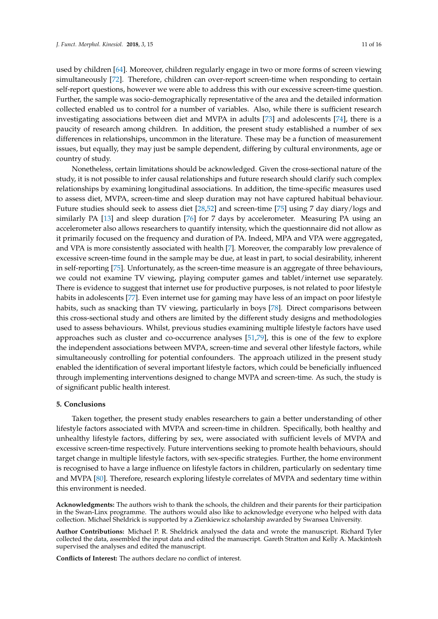used by children [\[64\]](#page-14-4). Moreover, children regularly engage in two or more forms of screen viewing simultaneously [\[72\]](#page-14-12). Therefore, children can over-report screen-time when responding to certain self-report questions, however we were able to address this with our excessive screen-time question. Further, the sample was socio-demographically representative of the area and the detailed information collected enabled us to control for a number of variables. Also, while there is sufficient research investigating associations between diet and MVPA in adults [\[73\]](#page-14-13) and adolescents [\[74\]](#page-14-14), there is a paucity of research among children. In addition, the present study established a number of sex differences in relationships, uncommon in the literature. These may be a function of measurement issues, but equally, they may just be sample dependent, differing by cultural environments, age or country of study.

Nonetheless, certain limitations should be acknowledged. Given the cross-sectional nature of the study, it is not possible to infer causal relationships and future research should clarify such complex relationships by examining longitudinal associations. In addition, the time-specific measures used to assess diet, MVPA, screen-time and sleep duration may not have captured habitual behaviour. Future studies should seek to assess diet [\[28,](#page-12-7)[52\]](#page-13-12) and screen-time [\[75\]](#page-14-15) using 7 day diary/logs and similarly PA [\[13\]](#page-11-12) and sleep duration [\[76\]](#page-14-16) for 7 days by accelerometer. Measuring PA using an accelerometer also allows researchers to quantify intensity, which the questionnaire did not allow as it primarily focused on the frequency and duration of PA. Indeed, MPA and VPA were aggregated, and VPA is more consistently associated with health [\[7\]](#page-11-6). Moreover, the comparably low prevalence of excessive screen-time found in the sample may be due, at least in part, to social desirability, inherent in self-reporting [\[75\]](#page-14-15). Unfortunately, as the screen-time measure is an aggregate of three behaviours, we could not examine TV viewing, playing computer games and tablet/internet use separately. There is evidence to suggest that internet use for productive purposes, is not related to poor lifestyle habits in adolescents [\[77\]](#page-14-17). Even internet use for gaming may have less of an impact on poor lifestyle habits, such as snacking than TV viewing, particularly in boys [\[78\]](#page-14-18). Direct comparisons between this cross-sectional study and others are limited by the different study designs and methodologies used to assess behaviours. Whilst, previous studies examining multiple lifestyle factors have used approaches such as cluster and co-occurrence analyses [\[51,](#page-13-11)[79\]](#page-15-0), this is one of the few to explore the independent associations between MVPA, screen-time and several other lifestyle factors, while simultaneously controlling for potential confounders. The approach utilized in the present study enabled the identification of several important lifestyle factors, which could be beneficially influenced through implementing interventions designed to change MVPA and screen-time. As such, the study is of significant public health interest.

# **5. Conclusions**

Taken together, the present study enables researchers to gain a better understanding of other lifestyle factors associated with MVPA and screen-time in children. Specifically, both healthy and unhealthy lifestyle factors, differing by sex, were associated with sufficient levels of MVPA and excessive screen-time respectively. Future interventions seeking to promote health behaviours, should target change in multiple lifestyle factors, with sex-specific strategies. Further, the home environment is recognised to have a large influence on lifestyle factors in children, particularly on sedentary time and MVPA [\[80\]](#page-15-1). Therefore, research exploring lifestyle correlates of MVPA and sedentary time within this environment is needed.

**Acknowledgments:** The authors wish to thank the schools, the children and their parents for their participation in the Swan-Linx programme. The authors would also like to acknowledge everyone who helped with data collection. Michael Sheldrick is supported by a Zienkiewicz scholarship awarded by Swansea University.

**Author Contributions:** Michael P. R. Sheldrick analysed the data and wrote the manuscript. Richard Tyler collected the data, assembled the input data and edited the manuscript. Gareth Stratton and Kelly A. Mackintosh supervised the analyses and edited the manuscript.

**Conflicts of Interest:** The authors declare no conflict of interest.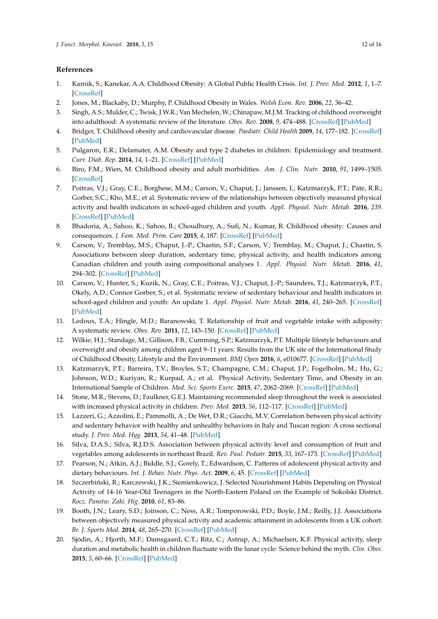# **References**

- <span id="page-11-0"></span>1. Karnik, S.; Kanekar, A.A. Childhood Obesity: A Global Public Health Crisis. *Int. J. Prev. Med.* **2012**, *1*, 1–7. [\[CrossRef\]](http://dx.doi.org/10.1201/b18227-3)
- <span id="page-11-1"></span>2. Jones, M.; Blackaby, D.; Murphy, P. Childhood Obesity in Wales. *Welsh Econ. Rev.* **2006**, *22*, 36–42.
- <span id="page-11-2"></span>3. Singh, A.S.; Mulder, C.; Twisk, J.W.R.; Van Mechelen, W.; Chinapaw, M.J.M. Tracking of childhood overweight into adulthood: A systematic review of the literature. *Obes. Rev.* **2008**, *9*, 474–488. [\[CrossRef\]](http://dx.doi.org/10.1111/j.1467-789X.2008.00475.x) [\[PubMed\]](http://www.ncbi.nlm.nih.gov/pubmed/18331423)
- <span id="page-11-3"></span>4. Bridger, T. Childhood obesity and cardiovascular disease. *Paediatr. Child Health* **2009**, *14*, 177–182. [\[CrossRef\]](http://dx.doi.org/10.1093/pch/14.3.177) [\[PubMed\]](http://www.ncbi.nlm.nih.gov/pubmed/20190900)
- <span id="page-11-4"></span>5. Pulgaron, E.R.; Delamater, A.M. Obesity and type 2 diabetes in children: Epidemiology and treatment. *Curr. Diab. Rep.* **2014**, *14*, 1–21. [\[CrossRef\]](http://dx.doi.org/10.1007/s11892-014-0508-y) [\[PubMed\]](http://www.ncbi.nlm.nih.gov/pubmed/24919749)
- <span id="page-11-5"></span>6. Biro, F.M.; Wien, M. Childhood obesity and adult morbidities. *Am. J. Clin. Nutr.* **2010**, *91*, 1499–1505. [\[CrossRef\]](http://dx.doi.org/10.3945/ajcn.2010.28701B.1)
- <span id="page-11-6"></span>7. Poitras, V.J.; Gray, C.E.; Borghese, M.M.; Carson, V.; Chaput, J.; Janssen, I.; Katzmarzyk, P.T.; Pate, R.R.; Gorber, S.C.; Kho, M.E.; et al. Systematic review of the relationships between objectively measured physical activity and health indicators in school-aged children and youth. *Appl. Physiol. Nutr. Metab.* **2016**, *239*. [\[CrossRef\]](http://dx.doi.org/10.1139/apnm-2015-0663) [\[PubMed\]](http://www.ncbi.nlm.nih.gov/pubmed/27306431)
- <span id="page-11-7"></span>8. Bhadoria, A.; Sahoo, K.; Sahoo, B.; Choudhury, A.; Sufi, N.; Kumar, R. Childhood obesity: Causes and consequences. *J. Fam. Med. Prim. Care* **2015**, *4*, 187. [\[CrossRef\]](http://dx.doi.org/10.4103/2249-4863.154628) [\[PubMed\]](http://www.ncbi.nlm.nih.gov/pubmed/25949965)
- <span id="page-11-8"></span>9. Carson, V.; Tremblay, M.S.; Chaput, J.-P.; Chastin, S.F.; Carson, V.; Tremblay, M.; Chaput, J.; Chastin, S. Associations between sleep duration, sedentary time, physical activity, and health indicators among Canadian children and youth using compositional analyses 1. *Appl. Physiol. Nutr. Metab.* **2016**, *41*, 294–302. [\[CrossRef\]](http://dx.doi.org/10.1139/apnm-2016-0026) [\[PubMed\]](http://www.ncbi.nlm.nih.gov/pubmed/27306435)
- <span id="page-11-9"></span>10. Carson, V.; Hunter, S.; Kuzik, N.; Gray, C.E.; Poitras, V.J.; Chaput, J.-P.; Saunders, T.J.; Katzmarzyk, P.T.; Okely, A.D.; Connor Gorber, S.; et al. Systematic review of sedentary behaviour and health indicators in school-aged children and youth: An update 1. *Appl. Physiol. Nutr. Metab.* **2016**, *41*, 240–265. [\[CrossRef\]](http://dx.doi.org/10.1139/apnm-2015-0630) [\[PubMed\]](http://www.ncbi.nlm.nih.gov/pubmed/27306432)
- <span id="page-11-10"></span>11. Ledoux, T.A.; Hingle, M.D.; Baranowski, T. Relationship of fruit and vegetable intake with adiposity: A systematic review. *Obes. Rev.* **2011**, *12*, 143–150. [\[CrossRef\]](http://dx.doi.org/10.1111/j.1467-789X.2010.00786.x) [\[PubMed\]](http://www.ncbi.nlm.nih.gov/pubmed/20633234)
- <span id="page-11-11"></span>12. Wilkie, H.J.; Standage, M.; Gillison, F.B.; Cumming, S.P.; Katzmarzyk, P.T. Multiple lifestyle behaviours and overweight and obesity among children aged 9–11 years: Results from the UK site of the International Study of Childhood Obesity, Lifestyle and the Environment. *BMJ Open* **2016**, *6*, e010677. [\[CrossRef\]](http://dx.doi.org/10.1136/bmjopen-2015-010677) [\[PubMed\]](http://www.ncbi.nlm.nih.gov/pubmed/26911589)
- <span id="page-11-12"></span>13. Katzmarzyk, P.T.; Barreira, T.V.; Broyles, S.T.; Champagne, C.M.; Chaput, J.P.; Fogelholm, M.; Hu, G.; Johnson, W.D.; Kuriyan, R.; Kurpad, A.; et al. Physical Activity, Sedentary Time, and Obesity in an International Sample of Children. *Med. Sci. Sports Exerc.* **2015**, *47*, 2062–2069. [\[CrossRef\]](http://dx.doi.org/10.1249/MSS.0000000000000649) [\[PubMed\]](http://www.ncbi.nlm.nih.gov/pubmed/25751770)
- <span id="page-11-13"></span>14. Stone, M.R.; Stevens, D.; Faulkner, G.E.J. Maintaining recommended sleep throughout the week is associated with increased physical activity in children. *Prev. Med.* **2013**, *56*, 112–117. [\[CrossRef\]](http://dx.doi.org/10.1016/j.ypmed.2012.11.015) [\[PubMed\]](http://www.ncbi.nlm.nih.gov/pubmed/23201000)
- <span id="page-11-14"></span>15. Lazzeri, G.; Azzolini, E.; Pammolli, A.; De Wet, D.R.; Giacchi, M.V. Correlation between physical activity and sedentary behavior with healthy and unhealthy behaviors in Italy and Tuscan region: A cross sectional study. *J. Prev. Med. Hyg.* **2013**, *54*, 41–48. [\[PubMed\]](http://www.ncbi.nlm.nih.gov/pubmed/24397005)
- <span id="page-11-15"></span>16. Silva, D.A.S.; Silva, R.J.D.S. Association between physical activity level and consumption of fruit and vegetables among adolescents in northeast Brazil. *Rev. Paul. Pediatr.* **2015**, *33*, 167–173. [\[CrossRef\]](http://dx.doi.org/10.1016/j.rpped.2014.09.003) [\[PubMed\]](http://www.ncbi.nlm.nih.gov/pubmed/25887930)
- <span id="page-11-16"></span>17. Pearson, N.; Atkin, A.J.; Biddle, S.J.; Gorely, T.; Edwardson, C. Patterns of adolescent physical activity and dietary behaviours. *Int. J. Behav. Nutr. Phys. Act.* **2009**, *6*, 45. [\[CrossRef\]](http://dx.doi.org/10.1186/1479-5868-6-45) [\[PubMed\]](http://www.ncbi.nlm.nih.gov/pubmed/19624822)
- <span id="page-11-17"></span>18. Szczerbiński, R.; Karczewski, J.K.; Siemienkowicz, J. Selected Nourishment Habits Depending on Physical Activity of 14-16 Year-Old Teenagers in the North-Eastern Poland on the Example of Sokolski District. *Rocz. Panstw. Zaki. Hig.* **2010**, *61*, 83–86.
- <span id="page-11-18"></span>19. Booth, J.N.; Leary, S.D.; Joinson, C.; Ness, A.R.; Tomporowski, P.D.; Boyle, J.M.; Reilly, J.J. Associations between objectively measured physical activity and academic attainment in adolescents from a UK cohort. *Br. J. Sports Med.* **2014**, *48*, 265–270. [\[CrossRef\]](http://dx.doi.org/10.1136/bjsports-2013-092334) [\[PubMed\]](http://www.ncbi.nlm.nih.gov/pubmed/24149097)
- <span id="page-11-19"></span>20. Sjödin, A.; Hjorth, M.F.; Damsgaard, C.T.; Ritz, C.; Astrup, A.; Michaelsen, K.F. Physical activity, sleep duration and metabolic health in children fluctuate with the lunar cycle: Science behind the myth. *Clin. Obes.* **2015**, *5*, 60–66. [\[CrossRef\]](http://dx.doi.org/10.1111/cob.12092) [\[PubMed\]](http://www.ncbi.nlm.nih.gov/pubmed/25808903)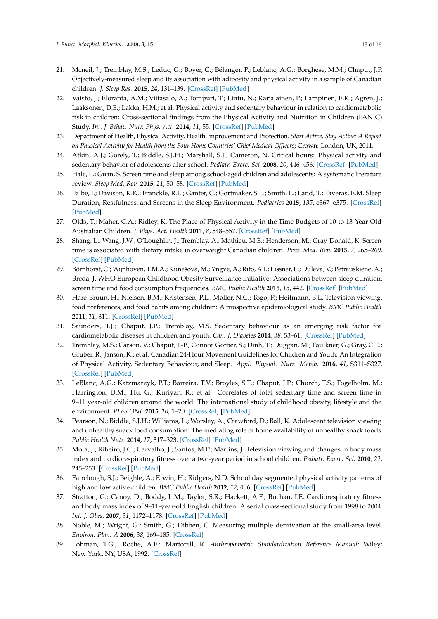- <span id="page-12-0"></span>21. Mcneil, J.; Tremblay, M.S.; Leduc, G.; Boyer, C.; Bélanger, P.; Leblanc, A.G.; Borghese, M.M.; Chaput, J.P. Objectively-measured sleep and its association with adiposity and physical activity in a sample of Canadian children. *J. Sleep Res.* **2015**, *24*, 131–139. [\[CrossRef\]](http://dx.doi.org/10.1111/jsr.12241) [\[PubMed\]](http://www.ncbi.nlm.nih.gov/pubmed/25266575)
- <span id="page-12-1"></span>22. Vaisto, J.; Eloranta, A.M.; Viitasalo, A.; Tompuri, T.; Lintu, N.; Karjalainen, P.; Lampinen, E.K.; Agren, J.; Laaksonen, D.E.; Lakka, H.M.; et al. Physical activity and sedentary behaviour in relation to cardiometabolic risk in children: Cross-sectional findings from the Physical Activity and Nutrition in Children (PANIC) Study. *Int. J. Behav. Nutr. Phys. Act.* **2014**, *11*, 55. [\[CrossRef\]](http://dx.doi.org/10.1186/1479-5868-11-55) [\[PubMed\]](http://www.ncbi.nlm.nih.gov/pubmed/24766669)
- <span id="page-12-2"></span>23. Department of Health, Physical Activity, Health Improvement and Protection. *Start Active, Stay Active: A Report on Physical Activity for Health from the Four Home Countries' Chief Medical Officers*; Crown: London, UK, 2011.
- <span id="page-12-3"></span>24. Atkin, A.J.; Gorely, T.; Biddle, S.J.H.; Marshall, S.J.; Cameron, N. Critical hours: Physical activity and sedentary behavior of adolescents after school. *Pediatr. Exerc. Sci.* **2008**, *20*, 446–456. [\[CrossRef\]](http://dx.doi.org/10.1123/pes.20.4.446) [\[PubMed\]](http://www.ncbi.nlm.nih.gov/pubmed/19168921)
- <span id="page-12-4"></span>25. Hale, L.; Guan, S. Screen time and sleep among school-aged children and adolescents: A systematic literature review. *Sleep Med. Rev.* **2015**, *21*, 50–58. [\[CrossRef\]](http://dx.doi.org/10.1016/j.smrv.2014.07.007) [\[PubMed\]](http://www.ncbi.nlm.nih.gov/pubmed/25193149)
- <span id="page-12-5"></span>26. Falbe, J.; Davison, K.K.; Franckle, R.L.; Ganter, C.; Gortmaker, S.L.; Smith, L.; Land, T.; Taveras, E.M. Sleep Duration, Restfulness, and Screens in the Sleep Environment. *Pediatrics* **2015**, *135*, e367–e375. [\[CrossRef\]](http://dx.doi.org/10.1542/peds.2014-2306) [\[PubMed\]](http://www.ncbi.nlm.nih.gov/pubmed/25560435)
- <span id="page-12-6"></span>27. Olds, T.; Maher, C.A.; Ridley, K. The Place of Physical Activity in the Time Budgets of 10-to 13-Year-Old Australian Children. *J. Phys. Act. Health* **2011**, *8*, 548–557. [\[CrossRef\]](http://dx.doi.org/10.1123/jpah.8.4.548) [\[PubMed\]](http://www.ncbi.nlm.nih.gov/pubmed/21597128)
- <span id="page-12-7"></span>28. Shang, L.; Wang, J.W.; O'Loughlin, J.; Tremblay, A.; Mathieu, M.È.; Henderson, M.; Gray-Donald, K. Screen time is associated with dietary intake in overweight Canadian children. *Prev. Med. Rep.* **2015**, *2*, 265–269. [\[CrossRef\]](http://dx.doi.org/10.1016/j.pmedr.2015.04.003) [\[PubMed\]](http://www.ncbi.nlm.nih.gov/pubmed/26844082)
- <span id="page-12-8"></span>29. Börnhorst, C.; Wijnhoven, T.M.A.; Kunešová, M.; Yngve, A.; Rito, A.I.; Lissner, L.; Duleva, V.; Petrauskiene, A.; Breda, J. WHO European Childhood Obesity Surveillance Initiative: Associations between sleep duration, screen time and food consumption frequencies. *BMC Public Health* **2015**, *15*, 442. [\[CrossRef\]](http://dx.doi.org/10.1186/s12889-015-1793-3) [\[PubMed\]](http://www.ncbi.nlm.nih.gov/pubmed/25924872)
- <span id="page-12-9"></span>30. Hare-Bruun, H.; Nielsen, B.M.; Kristensen, P.L.; Møller, N.C.; Togo, P.; Heitmann, B.L. Television viewing, food preferences, and food habits among children: A prospective epidemiological study. *BMC Public Health* **2011**, *11*, 311. [\[CrossRef\]](http://dx.doi.org/10.1186/1471-2458-11-311) [\[PubMed\]](http://www.ncbi.nlm.nih.gov/pubmed/21569476)
- <span id="page-12-10"></span>31. Saunders, T.J.; Chaput, J.P.; Tremblay, M.S. Sedentary behaviour as an emerging risk factor for cardiometabolic diseases in children and youth. *Can. J. Diabetes* **2014**, *38*, 53–61. [\[CrossRef\]](http://dx.doi.org/10.1016/j.jcjd.2013.08.266) [\[PubMed\]](http://www.ncbi.nlm.nih.gov/pubmed/24485214)
- <span id="page-12-11"></span>32. Tremblay, M.S.; Carson, V.; Chaput, J.-P.; Connor Gorber, S.; Dinh, T.; Duggan, M.; Faulkner, G.; Gray, C.E.; Gruber, R.; Janson, K.; et al. Canadian 24-Hour Movement Guidelines for Children and Youth: An Integration of Physical Activity, Sedentary Behaviour, and Sleep. *Appl. Physiol. Nutr. Metab.* **2016**, *41*, S311–S327. [\[CrossRef\]](http://dx.doi.org/10.1139/apnm-2016-0151) [\[PubMed\]](http://www.ncbi.nlm.nih.gov/pubmed/27306437)
- <span id="page-12-12"></span>33. LeBlanc, A.G.; Katzmarzyk, P.T.; Barreira, T.V.; Broyles, S.T.; Chaput, J.P.; Church, T.S.; Fogelholm, M.; Harrington, D.M.; Hu, G.; Kuriyan, R.; et al. Correlates of total sedentary time and screen time in 9–11 year-old children around the world: The international study of childhood obesity, lifestyle and the environment. *PLoS ONE* **2015**, *10*, 1–20. [\[CrossRef\]](http://dx.doi.org/10.1371/journal.pone.0129622) [\[PubMed\]](http://www.ncbi.nlm.nih.gov/pubmed/26068231)
- <span id="page-12-13"></span>34. Pearson, N.; Biddle, S.J.H.; Williams, L.; Worsley, A.; Crawford, D.; Ball, K. Adolescent television viewing and unhealthy snack food consumption: The mediating role of home availability of unhealthy snack foods. *Public Health Nutr.* **2014**, *17*, 317–323. [\[CrossRef\]](http://dx.doi.org/10.1017/S1368980012005204) [\[PubMed\]](http://www.ncbi.nlm.nih.gov/pubmed/23195394)
- <span id="page-12-14"></span>35. Mota, J.; Ribeiro, J.C.; Carvalho, J.; Santos, M.P.; Martins, J. Television viewing and changes in body mass index and cardiorespiratory fitness over a two-year period in school children. *Pediatr. Exerc. Sci.* **2010**, *22*, 245–253. [\[CrossRef\]](http://dx.doi.org/10.1123/pes.22.2.245) [\[PubMed\]](http://www.ncbi.nlm.nih.gov/pubmed/20567045)
- <span id="page-12-15"></span>36. Fairclough, S.J.; Beighle, A.; Erwin, H.; Ridgers, N.D. School day segmented physical activity patterns of high and low active children. *BMC Public Health* **2012**, *12*, 406. [\[CrossRef\]](http://dx.doi.org/10.1186/1471-2458-12-406) [\[PubMed\]](http://www.ncbi.nlm.nih.gov/pubmed/22672654)
- <span id="page-12-16"></span>37. Stratton, G.; Canoy, D.; Boddy, L.M.; Taylor, S.R.; Hackett, A.F.; Buchan, I.E. Cardiorespiratory fitness and body mass index of 9–11-year-old English children: A serial cross-sectional study from 1998 to 2004. *Int. J. Obes.* **2007**, *31*, 1172–1178. [\[CrossRef\]](http://dx.doi.org/10.1038/sj.ijo.0803562) [\[PubMed\]](http://www.ncbi.nlm.nih.gov/pubmed/17310222)
- <span id="page-12-17"></span>38. Noble, M.; Wright, G.; Smith, G.; Dibben, C. Measuring multiple deprivation at the small-area level. *Environ. Plan. A* **2006**, *38*, 169–185. [\[CrossRef\]](http://dx.doi.org/10.1068/a37168)
- <span id="page-12-18"></span>39. Lohman, T.G.; Roche, A.F.; Martorell, R. *Anthropometric Standardization Reference Manual*; Wiley: New York, NY, USA, 1992. [\[CrossRef\]](http://dx.doi.org/10.1002/ajhb.1310040323)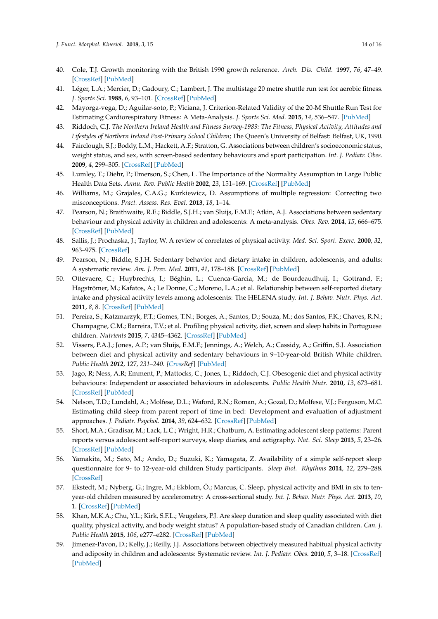- <span id="page-13-0"></span>40. Cole, T.J. Growth monitoring with the British 1990 growth reference. *Arch. Dis. Child.* **1997**, *76*, 47–49. [\[CrossRef\]](http://dx.doi.org/10.1136/adc.76.1.47) [\[PubMed\]](http://www.ncbi.nlm.nih.gov/pubmed/9059161)
- <span id="page-13-1"></span>41. Léger, L.A.; Mercier, D.; Gadoury, C.; Lambert, J. The multistage 20 metre shuttle run test for aerobic fitness. *J. Sports Sci.* **1988**, *6*, 93–101. [\[CrossRef\]](http://dx.doi.org/10.1080/02640418808729800) [\[PubMed\]](http://www.ncbi.nlm.nih.gov/pubmed/3184250)
- <span id="page-13-2"></span>42. Mayorga-vega, D.; Aguilar-soto, P.; Viciana, J. Criterion-Related Validity of the 20-M Shuttle Run Test for Estimating Cardiorespiratory Fitness: A Meta-Analysis. *J. Sports Sci. Med.* **2015**, *14*, 536–547. [\[PubMed\]](http://www.ncbi.nlm.nih.gov/pubmed/26336340)
- <span id="page-13-3"></span>43. Riddoch, C.J. *The Northern Ireland Health and Fitness Survey-1989: The Fitness, Physical Activity, Attitudes and Lifestyles of Northern Ireland Post-Primary School Children*; The Queen's University of Belfast: Belfast, UK, 1990.
- <span id="page-13-4"></span>44. Fairclough, S.J.; Boddy, L.M.; Hackett, A.F.; Stratton, G. Associations between children's socioeconomic status, weight status, and sex, with screen-based sedentary behaviours and sport participation. *Int. J. Pediatr. Obes.* **2009**, *4*, 299–305. [\[CrossRef\]](http://dx.doi.org/10.3109/17477160902811215) [\[PubMed\]](http://www.ncbi.nlm.nih.gov/pubmed/19922045)
- <span id="page-13-5"></span>45. Lumley, T.; Diehr, P.; Emerson, S.; Chen, L. The Importance of the Normality Assumption in Large Public Health Data Sets. *Annu. Rev. Public Health* **2002**, *23*, 151–169. [\[CrossRef\]](http://dx.doi.org/10.1146/annurev.publhealth.23.100901.140546) [\[PubMed\]](http://www.ncbi.nlm.nih.gov/pubmed/11910059)
- <span id="page-13-6"></span>46. Williams, M.; Grajales, C.A.G.; Kurkiewicz, D. Assumptions of multiple regression: Correcting two misconceptions. *Pract. Assess. Res. Eval.* **2013**, *18*, 1–14.
- <span id="page-13-7"></span>47. Pearson, N.; Braithwaite, R.E.; Biddle, S.J.H.; van Sluijs, E.M.F.; Atkin, A.J. Associations between sedentary behaviour and physical activity in children and adolescents: A meta-analysis. *Obes. Rev.* **2014**, *15*, 666–675. [\[CrossRef\]](http://dx.doi.org/10.1111/obr.12188) [\[PubMed\]](http://www.ncbi.nlm.nih.gov/pubmed/24844784)
- <span id="page-13-8"></span>48. Sallis, J.; Prochaska, J.; Taylor, W. A review of correlates of physical activity. *Med. Sci. Sport. Exerc.* **2000**, *32*, 963–975. [\[CrossRef\]](http://dx.doi.org/10.1097/00005768-200005000-00014)
- <span id="page-13-9"></span>49. Pearson, N.; Biddle, S.J.H. Sedentary behavior and dietary intake in children, adolescents, and adults: A systematic review. *Am. J. Prev. Med.* **2011**, *41*, 178–188. [\[CrossRef\]](http://dx.doi.org/10.1016/j.amepre.2011.05.002) [\[PubMed\]](http://www.ncbi.nlm.nih.gov/pubmed/21767726)
- <span id="page-13-10"></span>50. Ottevaere, C.; Huybrechts, I.; Béghin, L.; Cuenca-Garcia, M.; de Bourdeaudhuij, I.; Gottrand, F.; Hagströmer, M.; Kafatos, A.; Le Donne, C.; Moreno, L.A.; et al. Relationship between self-reported dietary intake and physical activity levels among adolescents: The HELENA study. *Int. J. Behav. Nutr. Phys. Act.* **2011**, *8*, 8. [\[CrossRef\]](http://dx.doi.org/10.1186/1479-5868-8-8) [\[PubMed\]](http://www.ncbi.nlm.nih.gov/pubmed/21294914)
- <span id="page-13-11"></span>51. Pereira, S.; Katzmarzyk, P.T.; Gomes, T.N.; Borges, A.; Santos, D.; Souza, M.; dos Santos, F.K.; Chaves, R.N.; Champagne, C.M.; Barreira, T.V.; et al. Profiling physical activity, diet, screen and sleep habits in Portuguese children. *Nutrients* **2015**, *7*, 4345–4362. [\[CrossRef\]](http://dx.doi.org/10.3390/nu7064345) [\[PubMed\]](http://www.ncbi.nlm.nih.gov/pubmed/26043034)
- <span id="page-13-12"></span>52. Vissers, P.A.J.; Jones, A.P.; van Sluijs, E.M.F.; Jennings, A.; Welch, A.; Cassidy, A.; Griffin, S.J. Association between diet and physical activity and sedentary behaviours in 9–10-year-old British White children. *Public Health 2012,* 127*, 231–240. [\[Cross](http://dx.doi.org/10.1016/j.puhe.2012.12.006)Ref*] [\[PubMed\]](http://www.ncbi.nlm.nih.gov/pubmed/23332733)
- <span id="page-13-13"></span>53. Jago, R; Ness, A.R; Emment, P.; Mattocks, C.; Jones, L.; Riddoch, C.J. Obesogenic diet and physical activity behaviours: Independent or associated behaviours in adolescents. *Public Health Nutr.* **2010**, *13*, 673–681. [\[CrossRef\]](http://dx.doi.org/10.1017/S1368980009992151) [\[PubMed\]](http://www.ncbi.nlm.nih.gov/pubmed/19954571)
- <span id="page-13-14"></span>54. Nelson, T.D.; Lundahl, A.; Molfese, D.L.; Waford, R.N.; Roman, A.; Gozal, D.; Molfese, V.J.; Ferguson, M.C. Estimating child sleep from parent report of time in bed: Development and evaluation of adjustment approaches. *J. Pediatr. Psychol.* **2014**, *39*, 624–632. [\[CrossRef\]](http://dx.doi.org/10.1093/jpepsy/jsu020) [\[PubMed\]](http://www.ncbi.nlm.nih.gov/pubmed/24781412)
- <span id="page-13-15"></span>55. Short, M.A.; Gradisar, M.; Lack, L.C.; Wright, H.R.; Chatburn, A. Estimating adolescent sleep patterns: Parent reports versus adolescent self-report surveys, sleep diaries, and actigraphy. *Nat. Sci. Sleep* **2013**, *5*, 23–26. [\[CrossRef\]](http://dx.doi.org/10.2147/NSS.S38369) [\[PubMed\]](http://www.ncbi.nlm.nih.gov/pubmed/23620690)
- <span id="page-13-16"></span>56. Yamakita, M.; Sato, M.; Ando, D.; Suzuki, K.; Yamagata, Z. Availability of a simple self-report sleep questionnaire for 9- to 12-year-old children Study participants. *Sleep Biol. Rhythms* **2014**, *12*, 279–288. [\[CrossRef\]](http://dx.doi.org/10.1111/sbr.12072)
- <span id="page-13-17"></span>57. Ekstedt, M.; Nyberg, G.; Ingre, M.; Ekblom, Ö.; Marcus, C. Sleep, physical activity and BMI in six to tenyear-old children measured by accelerometry: A cross-sectional study. *Int. J. Behav. Nutr. Phys. Act.* **2013**, *10*, 1. [\[CrossRef\]](http://dx.doi.org/10.1186/1479-5868-10-82) [\[PubMed\]](http://www.ncbi.nlm.nih.gov/pubmed/23800204)
- <span id="page-13-18"></span>58. Khan, M.K.A.; Chu, Y.L.; Kirk, S.F.L.; Veugelers, P.J. Are sleep duration and sleep quality associated with diet quality, physical activity, and body weight status? A population-based study of Canadian children. *Can. J. Public Health* **2015**, *106*, e277–e282. [\[CrossRef\]](http://dx.doi.org/10.17269/cjph.106.4892) [\[PubMed\]](http://www.ncbi.nlm.nih.gov/pubmed/26451988)
- <span id="page-13-19"></span>59. Jimenez-Pavon, D.; Kelly, J.; Reilly, J.J. Associations between objectively measured habitual physical activity and adiposity in children and adolescents: Systematic review. *Int. J. Pediatr. Obes.* **2010**, *5*, 3–18. [\[CrossRef\]](http://dx.doi.org/10.3109/17477160903067601) [\[PubMed\]](http://www.ncbi.nlm.nih.gov/pubmed/19562608)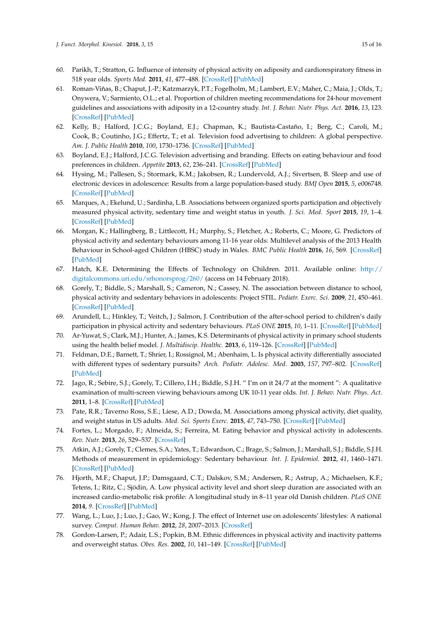- <span id="page-14-0"></span>60. Parikh, T.; Stratton, G. Influence of intensity of physical activity on adiposity and cardiorespiratory fitness in 518 year olds. *Sports Med.* **2011**, *41*, 477–488. [\[CrossRef\]](http://dx.doi.org/10.2165/11588750-000000000-00000) [\[PubMed\]](http://www.ncbi.nlm.nih.gov/pubmed/21615189)
- <span id="page-14-1"></span>61. Roman-Viñas, B.; Chaput, J.-P.; Katzmarzyk, P.T.; Fogelholm, M.; Lambert, E.V.; Maher, C.; Maia, J.; Olds, T.; Onywera, V.; Sarmiento, O.L.; et al. Proportion of children meeting recommendations for 24-hour movement guidelines and associations with adiposity in a 12-country study. *Int. J. Behav. Nutr. Phys. Act.* **2016**, *13*, 123. [\[CrossRef\]](http://dx.doi.org/10.1186/s12966-016-0449-8) [\[PubMed\]](http://www.ncbi.nlm.nih.gov/pubmed/27887654)
- <span id="page-14-2"></span>62. Kelly, B.; Halford, J.C.G.; Boyland, E.J.; Chapman, K.; Bautista-Castaño, I.; Berg, C.; Caroli, M.; Cook, B.; Coutinho, J.G.; Effertz, T.; et al. Television food advertising to children: A global perspective. *Am. J. Public Health* **2010**, *100*, 1730–1736. [\[CrossRef\]](http://dx.doi.org/10.2105/AJPH.2009.179267) [\[PubMed\]](http://www.ncbi.nlm.nih.gov/pubmed/20634464)
- <span id="page-14-3"></span>63. Boyland, E.J.; Halford, J.C.G. Television advertising and branding. Effects on eating behaviour and food preferences in children. *Appetite* **2013**, *62*, 236–241. [\[CrossRef\]](http://dx.doi.org/10.1016/j.appet.2012.01.032) [\[PubMed\]](http://www.ncbi.nlm.nih.gov/pubmed/22421053)
- <span id="page-14-4"></span>64. Hysing, M.; Pallesen, S.; Stormark, K.M.; Jakobsen, R.; Lundervold, A.J.; Sivertsen, B. Sleep and use of electronic devices in adolescence: Results from a large population-based study. *BMJ Open* **2015**, *5*, e006748. [\[CrossRef\]](http://dx.doi.org/10.1136/bmjopen-2014-006748) [\[PubMed\]](http://www.ncbi.nlm.nih.gov/pubmed/25643702)
- <span id="page-14-5"></span>65. Marques, A.; Ekelund, U.; Sardinha, L.B. Associations between organized sports participation and objectively measured physical activity, sedentary time and weight status in youth. *J. Sci. Med. Sport* **2015**, *19*, 1–4. [\[CrossRef\]](http://dx.doi.org/10.1016/j.jsams.2015.02.007) [\[PubMed\]](http://www.ncbi.nlm.nih.gov/pubmed/25766508)
- <span id="page-14-6"></span>66. Morgan, K.; Hallingberg, B.; Littlecott, H.; Murphy, S.; Fletcher, A.; Roberts, C.; Moore, G. Predictors of physical activity and sedentary behaviours among 11-16 year olds: Multilevel analysis of the 2013 Health Behaviour in School-aged Children (HBSC) study in Wales. *BMC Public Health* **2016**, *16*, 569. [\[CrossRef\]](http://dx.doi.org/10.1186/s12889-016-3213-8) [\[PubMed\]](http://www.ncbi.nlm.nih.gov/pubmed/27417298)
- <span id="page-14-7"></span>67. Hatch, K.E. Determining the Effects of Technology on Children. 2011. Available online: [http://](http://digitalcommons.uri.edu/srhonorsprog/260/) [digitalcommons.uri.edu/srhonorsprog/260/](http://digitalcommons.uri.edu/srhonorsprog/260/) (access on 14 February 2018).
- <span id="page-14-8"></span>68. Gorely, T.; Biddle, S.; Marshall, S.; Cameron, N.; Cassey, N. The association between distance to school, physical activity and sedentary behaviors in adolescents: Project STIL. *Pediatr. Exerc. Sci.* **2009**, *21*, 450–461. [\[CrossRef\]](http://dx.doi.org/10.1123/pes.21.4.450) [\[PubMed\]](http://www.ncbi.nlm.nih.gov/pubmed/20128364)
- <span id="page-14-9"></span>69. Arundell, L.; Hinkley, T.; Veitch, J.; Salmon, J. Contribution of the after-school period to children's daily participation in physical activity and sedentary behaviours. *PLoS ONE* **2015**, *10*, 1–11. [\[CrossRef\]](http://dx.doi.org/10.1371/journal.pone.0140132) [\[PubMed\]](http://www.ncbi.nlm.nih.gov/pubmed/26517362)
- <span id="page-14-10"></span>70. Ar-Yuwat, S.; Clark, M.J.; Hunter, A.; James, K.S. Determinants of physical activity in primary school students using the health belief model. *J. Multidiscip. Healthc.* **2013**, *6*, 119–126. [\[CrossRef\]](http://dx.doi.org/10.2147/JMDH.S40876) [\[PubMed\]](http://www.ncbi.nlm.nih.gov/pubmed/23569383)
- <span id="page-14-11"></span>71. Feldman, D.E.; Barnett, T.; Shrier, I.; Rossignol, M.; Abenhaim, L. Is physical activity differentially associated with different types of sedentary pursuits? *Arch. Pediatr. Adolesc. Med.* **2003**, *157*, 797–802. [\[CrossRef\]](http://dx.doi.org/10.1001/archpedi.157.8.797) [\[PubMed\]](http://www.ncbi.nlm.nih.gov/pubmed/12912786)
- <span id="page-14-12"></span>72. Jago, R.; Sebire, S.J.; Gorely, T.; Cillero, I.H.; Biddle, S.J.H. " I'm on it 24/7 at the moment ": A qualitative examination of multi-screen viewing behaviours among UK 10-11 year olds. *Int. J. Behav. Nutr. Phys. Act.* **2011**, 1–8. [\[CrossRef\]](http://dx.doi.org/10.1186/1479-5868-8-85) [\[PubMed\]](http://www.ncbi.nlm.nih.gov/pubmed/21812945)
- <span id="page-14-13"></span>73. Pate, R.R.; Taverno Ross, S.E.; Liese, A.D.; Dowda, M. Associations among physical activity, diet quality, and weight status in US adults. *Med. Sci. Sports Exerc.* **2015**, *47*, 743–750. [\[CrossRef\]](http://dx.doi.org/10.1249/MSS.0000000000000456) [\[PubMed\]](http://www.ncbi.nlm.nih.gov/pubmed/25058328)
- <span id="page-14-14"></span>74. Fortes, L.; Morgado, F.; Almeida, S.; Ferreira, M. Eating behavior and physical activity in adolescents. *Rev. Nutr.* **2013**, *26*, 529–537. [\[CrossRef\]](http://dx.doi.org/10.1590/S1415-52732013000500004)
- <span id="page-14-15"></span>75. Atkin, A.J.; Gorely, T.; Clemes, S.A.; Yates, T.; Edwardson, C.; Brage, S.; Salmon, J.; Marshall, S.J.; Biddle, S.J.H. Methods of measurement in epidemiology: Sedentary behaviour. *Int. J. Epidemiol.* **2012**, *41*, 1460–1471. [\[CrossRef\]](http://dx.doi.org/10.1093/ije/dys118) [\[PubMed\]](http://www.ncbi.nlm.nih.gov/pubmed/23045206)
- <span id="page-14-16"></span>76. Hjorth, M.F.; Chaput, J.P.; Damsgaard, C.T.; Dalskov, S.M.; Andersen, R.; Astrup, A.; Michaelsen, K.F.; Tetens, I.; Ritz, C.; Sjödin, A. Low physical activity level and short sleep duration are associated with an increased cardio-metabolic risk profile: A longitudinal study in 8–11 year old Danish children. *PLoS ONE* **2014**, *9*. [\[CrossRef\]](http://dx.doi.org/10.1371/journal.pone.0104677) [\[PubMed\]](http://www.ncbi.nlm.nih.gov/pubmed/25102157)
- <span id="page-14-17"></span>77. Wang, L.; Luo, J.; Luo, J.; Gao, W.; Kong, J. The effect of Internet use on adolescents' lifestyles: A national survey. *Comput. Human Behav.* **2012**, *28*, 2007–2013. [\[CrossRef\]](http://dx.doi.org/10.1016/j.chb.2012.04.007)
- <span id="page-14-18"></span>78. Gordon-Larsen, P.; Adair, L.S.; Popkin, B.M. Ethnic differences in physical activity and inactivity patterns and overweight status. *Obes. Res.* **2002**, *10*, 141–149. [\[CrossRef\]](http://dx.doi.org/10.1038/oby.2002.23) [\[PubMed\]](http://www.ncbi.nlm.nih.gov/pubmed/11886936)